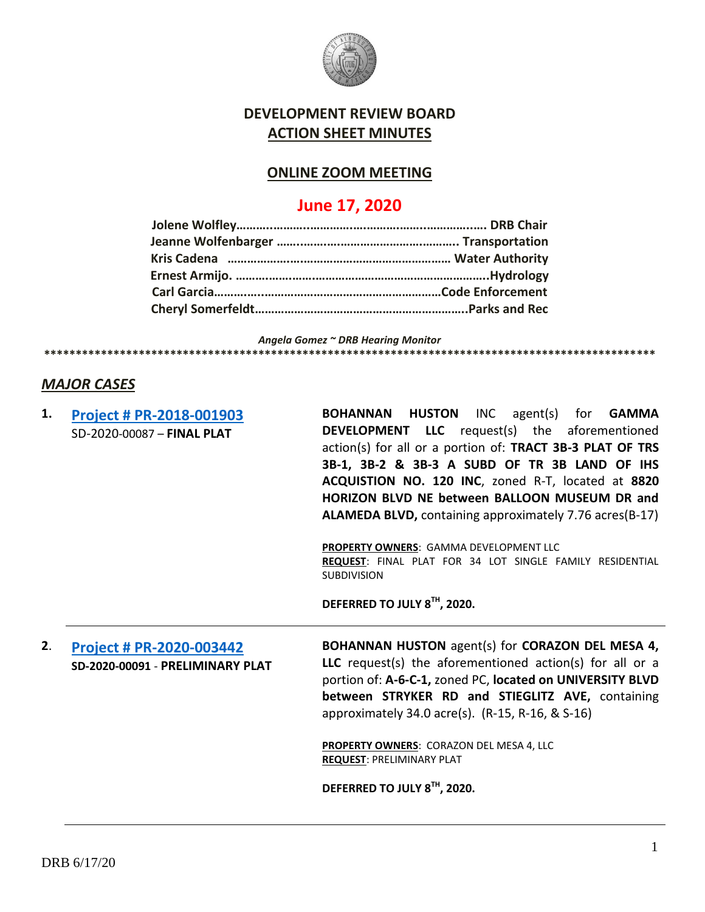

# **DEVELOPMENT REVIEW BOARD ACTION SHEET MINUTES**

# **ONLINE ZOOM MEETING**

# **June 17, 2020**

*Angela Gomez ~ DRB Hearing Monitor*

## *MAJOR CASES*

**1. [Project # PR-2018-001903](http://data.cabq.gov/government/planning/DRB/PR-2018-001903/DRB%20Submittals/PR-2018-001903_June_17_2020/Application/Ascension%20SubdivisionFinal%20Plat%20DRB%20Submittal%20Package.pdf)** SD-2020-00087 – **FINAL PLAT**

**BOHANNAN HUSTON** INC agent(s) for **GAMMA DEVELOPMENT LLC** request(s) the aforementioned action(s) for all or a portion of: **TRACT 3B-3 PLAT OF TRS 3B-1, 3B-2 & 3B-3 A SUBD OF TR 3B LAND OF IHS ACQUISTION NO. 120 INC**, zoned R-T, located at **8820 HORIZON BLVD NE between BALLOON MUSEUM DR and ALAMEDA BLVD,** containing approximately 7.76 acres(B-17)

**PROPERTY OWNERS**: GAMMA DEVELOPMENT LLC **REQUEST**: FINAL PLAT FOR 34 LOT SINGLE FAMILY RESIDENTIAL SUBDIVISION

**DEFERRED TO JULY 8TH, 2020.**

**\*\*\*\*\*\*\*\*\*\*\*\*\*\*\*\*\*\*\*\*\*\*\*\*\*\*\*\*\*\*\*\*\*\*\*\*\*\*\*\*\*\*\*\*\*\*\*\*\*\*\*\*\*\*\*\*\*\*\*\*\*\*\*\*\*\*\*\*\*\*\*\*\*\*\*\*\*\*\*\*\*\*\*\*\*\*\*\*\*\*\*\*\*\*\*\*\***

**2**. **[Project # PR-2020-003442](http://data.cabq.gov/government/planning/DRB/PR-2020-003442/DRB%20Submittals/PR-2020-003442_Jun_17_2020/) SD-2020-00091** - **PRELIMINARY PLAT** **BOHANNAN HUSTON** agent(s) for **CORAZON DEL MESA 4, LLC** request(s) the aforementioned action(s) for all or a portion of: **A-6-C-1,** zoned PC, **located on UNIVERSITY BLVD between STRYKER RD and STIEGLITZ AVE,** containing approximately 34.0 acre(s). (R-15, R-16, & S-16)

**PROPERTY OWNERS**: CORAZON DEL MESA 4, LLC **REQUEST**: PRELIMINARY PLAT

**DEFERRED TO JULY 8TH, 2020.**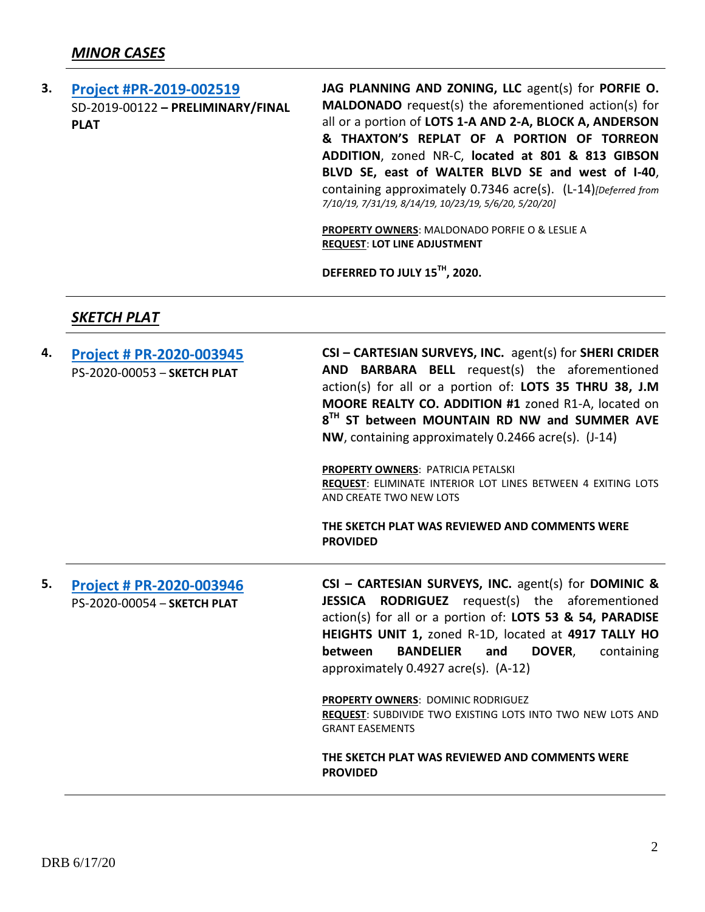**3. [Project #PR-2019-002519](http://data.cabq.gov/government/planning/DRB/PR-2019-002519/DRB%20Submittals/PR-2019-002519_May_20_2020_Supp/Application/Supplemental%20PR-2019-002519.pdf)** SD-2019-00122 **– PRELIMINARY/FINAL PLAT JAG PLANNING AND ZONING, LLC** agent(s) for **PORFIE O. MALDONADO** request(s) the aforementioned action(s) for all or a portion of **LOTS 1-A AND 2-A, BLOCK A, ANDERSON & THAXTON'S REPLAT OF A PORTION OF TORREON ADDITION**, zoned NR-C, **located at 801 & 813 GIBSON BLVD SE, east of WALTER BLVD SE and west of I-40**, containing approximately 0.7346 acre(s). (L-14)*[Deferred from 7/10/19, 7/31/19, 8/14/19, 10/23/19, 5/6/20, 5/20/20]*

> **PROPERTY OWNERS**: MALDONADO PORFIE O & LESLIE A **REQUEST**: **LOT LINE ADJUSTMENT**

**DEFERRED TO JULY 15TH, 2020.**

## *SKETCH PLAT*

| 4. | <b>Project # PR-2020-003945</b><br>PS-2020-00053 - SKETCH PLAT | CSI - CARTESIAN SURVEYS, INC. agent(s) for SHERI CRIDER<br>AND BARBARA BELL request(s) the aforementioned<br>action(s) for all or a portion of: LOTS 35 THRU 38, J.M<br>MOORE REALTY CO. ADDITION #1 zoned R1-A, located on<br>8 <sup>TH</sup> ST between MOUNTAIN RD NW and SUMMER AVE<br>NW, containing approximately 0.2466 acre(s). (J-14)          |
|----|----------------------------------------------------------------|---------------------------------------------------------------------------------------------------------------------------------------------------------------------------------------------------------------------------------------------------------------------------------------------------------------------------------------------------------|
|    |                                                                | PROPERTY OWNERS: PATRICIA PETALSKI<br>REQUEST: ELIMINATE INTERIOR LOT LINES BETWEEN 4 EXITING LOTS<br>AND CREATE TWO NEW LOTS                                                                                                                                                                                                                           |
|    |                                                                | THE SKETCH PLAT WAS REVIEWED AND COMMENTS WERE<br><b>PROVIDED</b>                                                                                                                                                                                                                                                                                       |
| 5. | Project # PR-2020-003946<br>PS-2020-00054 - SKETCH PLAT        | CSI - CARTESIAN SURVEYS, INC. agent(s) for DOMINIC &<br><b>JESSICA RODRIGUEZ</b> request(s) the aforementioned<br>action(s) for all or a portion of: LOTS 53 & 54, PARADISE<br>HEIGHTS UNIT 1, zoned R-1D, located at 4917 TALLY HO<br><b>BANDELIER</b><br><b>DOVER,</b><br>and<br>containing<br><b>between</b><br>approximately 0.4927 acre(s). (A-12) |
|    |                                                                | <b>PROPERTY OWNERS: DOMINIC RODRIGUEZ</b><br>REQUEST: SUBDIVIDE TWO EXISTING LOTS INTO TWO NEW LOTS AND                                                                                                                                                                                                                                                 |
|    |                                                                | <b>GRANT EASEMENTS</b>                                                                                                                                                                                                                                                                                                                                  |